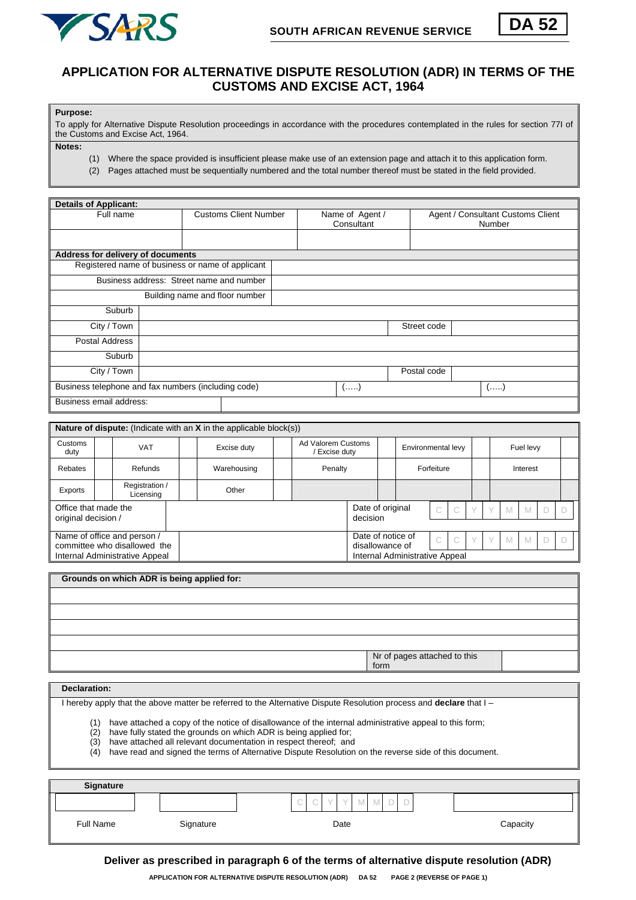



## **APPLICATION FOR ALTERNATIVE DISPUTE RESOLUTION (ADR) IN TERMS OF THE CUSTOMS AND EXCISE ACT, 1964**

**Purpose:** 

To apply for Alternative Dispute Resolution proceedings in accordance with the procedures contemplated in the rules for section 77I of the Customs and Excise Act, 1964.

**Notes:** 

(1) Where the space provided is insufficient please make use of an extension page and attach it to this application form.

(2) Pages attached must be sequentially numbered and the total number thereof must be stated in the field provided.

| <b>Details of Applicant:</b>                        |                                                  |                              |             |                               |             |                                             |  |  |  |
|-----------------------------------------------------|--------------------------------------------------|------------------------------|-------------|-------------------------------|-------------|---------------------------------------------|--|--|--|
| Full name                                           |                                                  | <b>Customs Client Number</b> |             | Name of Agent /<br>Consultant |             | Agent / Consultant Customs Client<br>Number |  |  |  |
|                                                     |                                                  |                              |             |                               |             |                                             |  |  |  |
| Address for delivery of documents                   |                                                  |                              |             |                               |             |                                             |  |  |  |
|                                                     | Registered name of business or name of applicant |                              |             |                               |             |                                             |  |  |  |
| Business address: Street name and number            |                                                  |                              |             |                               |             |                                             |  |  |  |
|                                                     | Building name and floor number                   |                              |             |                               |             |                                             |  |  |  |
| Suburb                                              |                                                  |                              |             |                               |             |                                             |  |  |  |
| City / Town                                         |                                                  |                              | Street code |                               |             |                                             |  |  |  |
| Postal Address                                      |                                                  |                              |             |                               |             |                                             |  |  |  |
| Suburb                                              |                                                  |                              |             |                               |             |                                             |  |  |  |
| City / Town                                         |                                                  |                              |             |                               | Postal code |                                             |  |  |  |
| Business telephone and fax numbers (including code) |                                                  |                              |             | ()                            |             | $($ )                                       |  |  |  |
| Business email address:                             |                                                  |                              |             |                               |             |                                             |  |  |  |

|                                                                                               |  |                             |  | <b>Nature of dispute:</b> (Indicate with an $X$ in the applicable block(s)) |                                    |                                      |  |                                |                    |              |   |   |           |  |  |  |
|-----------------------------------------------------------------------------------------------|--|-----------------------------|--|-----------------------------------------------------------------------------|------------------------------------|--------------------------------------|--|--------------------------------|--------------------|--------------|---|---|-----------|--|--|--|
| Customs<br>duty                                                                               |  | <b>VAT</b>                  |  | Excise duty                                                                 |                                    | Ad Valorem Customs<br>Excise duty    |  |                                | Environmental levy |              |   |   | Fuel levy |  |  |  |
| Rebates                                                                                       |  | Refunds                     |  | Warehousing                                                                 |                                    | Penalty                              |  |                                | Forfeiture         |              |   |   | Interest  |  |  |  |
| Exports                                                                                       |  | Registration /<br>Licensing |  | Other                                                                       |                                    |                                      |  |                                |                    |              |   |   |           |  |  |  |
| Office that made the<br>original decision /                                                   |  |                             |  |                                                                             | Date of original<br>C.<br>decision |                                      |  |                                | V                  | M            | M |   |           |  |  |  |
| Name of office and person /<br>committee who disallowed the<br>Internal Administrative Appeal |  |                             |  |                                                                             |                                    | Date of notice of<br>disallowance of |  | Internal Administrative Appeal |                    | $\mathbb{C}$ | V | M | M         |  |  |  |

| Grounds on which ADR is being applied for: |                                      |
|--------------------------------------------|--------------------------------------|
|                                            |                                      |
|                                            |                                      |
|                                            |                                      |
|                                            |                                      |
|                                            | Nr of pages attached to this<br>form |

**Declaration:** 

I hereby apply that the above matter be referred to the Alternative Dispute Resolution process and **declare** that I –

(1) have attached a copy of the notice of disallowance of the internal administrative appeal to this form;

have fully stated the grounds on which ADR is being applied for:

(3) have attached all relevant documentation in respect thereof; and

(4) have read and signed the terms of Alternative Dispute Resolution on the reverse side of this document.

| <b>Signature</b> |           |                                                                                            |          |
|------------------|-----------|--------------------------------------------------------------------------------------------|----------|
|                  |           | <b>COLLEGE</b><br>◡<br>$\overline{\phantom{a}}$<br>$\mathbf{V}$<br>⊷<br>$\sim$<br>$\cdots$ |          |
| Full Name        | Signature | Date                                                                                       | Capacity |
|                  |           |                                                                                            |          |

**Deliver as prescribed in paragraph 6 of the terms of alternative dispute resolution (ADR)**